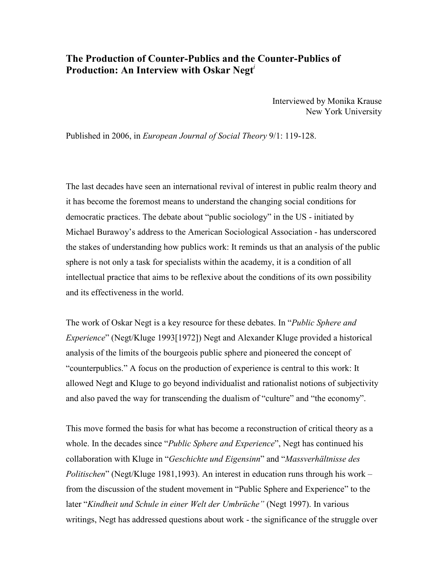# **The Production of Counter-Publics and the Counter-Publics of Production: An Interview with Oskar Negt***<sup>i</sup>*

Interviewed by Monika Krause New York University

Published in 2006, in *European Journal of Social Theory* 9/1: 119-128.

The last decades have seen an international revival of interest in public realm theory and it has become the foremost means to understand the changing social conditions for democratic practices. The debate about "public sociology" in the US - initiated by Michael Burawoy's address to the American Sociological Association - has underscored the stakes of understanding how publics work: It reminds us that an analysis of the public sphere is not only a task for specialists within the academy, it is a condition of all intellectual practice that aims to be reflexive about the conditions of its own possibility and its effectiveness in the world.

The work of Oskar Negt is a key resource for these debates. In "*Public Sphere and Experience*" (Negt/Kluge 1993[1972]) Negt and Alexander Kluge provided a historical analysis of the limits of the bourgeois public sphere and pioneered the concept of "counterpublics." A focus on the production of experience is central to this work: It allowed Negt and Kluge to go beyond individualist and rationalist notions of subjectivity and also paved the way for transcending the dualism of "culture" and "the economy".

This move formed the basis for what has become a reconstruction of critical theory as a whole. In the decades since "*Public Sphere and Experience*", Negt has continued his collaboration with Kluge in "*Geschichte und Eigensinn*" and "*Massverhältnisse des Politischen*" (Negt/Kluge 1981,1993). An interest in education runs through his work – from the discussion of the student movement in "Public Sphere and Experience" to the later "*Kindheit und Schule in einer Welt der Umbrüche"* (Negt 1997). In various writings, Negt has addressed questions about work - the significance of the struggle over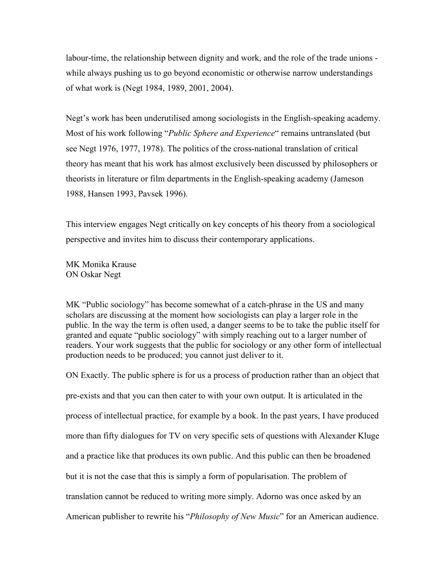labour-time, the relationship between dignity and work, and the role of the trade unions while always pushing us to go beyond economistic or otherwise narrow understandings of what work is (Negt 1984, 1989, 2001, 2004).

Negt's work has been underutilised among sociologists in the English-speaking academy. Most of his work following "*Public Sphere and Experience*" remains untranslated (but see Negt 1976, 1977, 1978). The politics of the cross-national translation of critical theory has meant that his work has almost exclusively been discussed by philosophers or theorists in literature or film departments in the English-speaking academy (Jameson 1988, Hansen 1993, Pavsek 1996).

This interview engages Negt critically on key concepts of his theory from a sociological perspective and invites him to discuss their contemporary applications.

MK Monika Krause ON Oskar Negt

MK "Public sociology" has become somewhat of a catch-phrase in the US and many scholars are discussing at the moment how sociologists can play a larger role in the public. In the way the term is often used, a danger seems to be to take the public itself for granted and equate "public sociology" with simply reaching out to a larger number of readers. Your work suggests that the public for sociology or any other form of intellectual production needs to be produced; you cannot just deliver to it.

ON Exactly. The public sphere is for us a process of production rather than an object that pre-exists and that you can then cater to with your own output. It is articulated in the process of intellectual practice, for example by a book. In the past years, I have produced more than fifty dialogues for TV on very specific sets of questions with Alexander Kluge and a practice like that produces its own public. And this public can then be broadened but it is not the case that this is simply a form of popularisation. The problem of translation cannot be reduced to writing more simply. Adorno was once asked by an American publisher to rewrite his "*Philosophy of New Music*" for an American audience.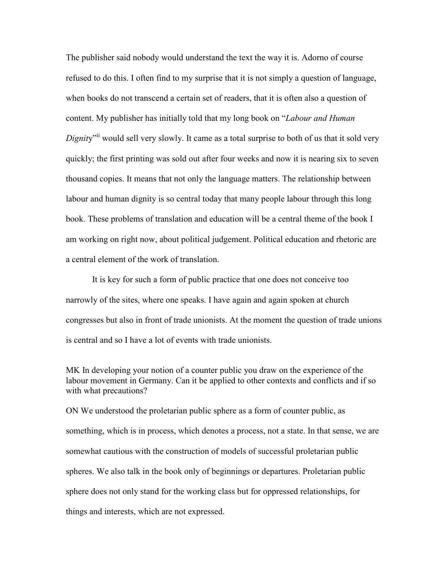The publisher said nobody would understand the text the way it is. Adorno of course refused to do this. I often find to my surprise that it is not simply a question of language, when books do not transcend a certain set of readers, that it is often also a question of content. My publisher has initially told that my long book on "*Labour and Human Dignity*<sup>" if</sup> would sell very slowly. It came as a total surprise to both of us that it sold very quickly; the first printing was sold out after four weeks and now it is nearing six to seven thousand copies. It means that not only the language matters. The relationship between labour and human dignity is so central today that many people labour through this long book. These problems of translation and education will be a central theme of the book I am working on right now, about political judgement. Political education and rhetoric are a central element of the work of translation.

It is key for such a form of public practice that one does not conceive too narrowly of the sites, where one speaks. I have again and again spoken at church congresses but also in front of trade unionists. At the moment the question of trade unions is central and so I have a lot of events with trade unionists.

MK In developing your notion of a counter public you draw on the experience of the labour movement in Germany. Can it be applied to other contexts and conflicts and if so with what precautions?

ON We understood the proletarian public sphere as a form of counter public, as something, which is in process, which denotes a process, not a state. In that sense, we are somewhat cautious with the construction of models of successful proletarian public spheres. We also talk in the book only of beginnings or departures. Proletarian public sphere does not only stand for the working class but for oppressed relationships, for things and interests, which are not expressed.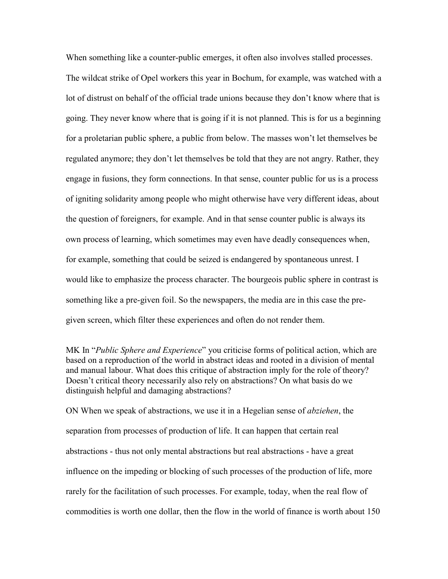When something like a counter-public emerges, it often also involves stalled processes. The wildcat strike of Opel workers this year in Bochum, for example, was watched with a lot of distrust on behalf of the official trade unions because they don't know where that is going. They never know where that is going if it is not planned. This is for us a beginning for a proletarian public sphere, a public from below. The masses won't let themselves be regulated anymore; they don't let themselves be told that they are not angry. Rather, they engage in fusions, they form connections. In that sense, counter public for us is a process of igniting solidarity among people who might otherwise have very different ideas, about the question of foreigners, for example. And in that sense counter public is always its own process of learning, which sometimes may even have deadly consequences when, for example, something that could be seized is endangered by spontaneous unrest. I would like to emphasize the process character. The bourgeois public sphere in contrast is something like a pre-given foil. So the newspapers, the media are in this case the pregiven screen, which filter these experiences and often do not render them.

MK In "*Public Sphere and Experience*" you criticise forms of political action, which are based on a reproduction of the world in abstract ideas and rooted in a division of mental and manual labour. What does this critique of abstraction imply for the role of theory? Doesn't critical theory necessarily also rely on abstractions? On what basis do we distinguish helpful and damaging abstractions?

ON When we speak of abstractions, we use it in a Hegelian sense of *abziehen*, the separation from processes of production of life. It can happen that certain real abstractions - thus not only mental abstractions but real abstractions - have a great influence on the impeding or blocking of such processes of the production of life, more rarely for the facilitation of such processes. For example, today, when the real flow of commodities is worth one dollar, then the flow in the world of finance is worth about 150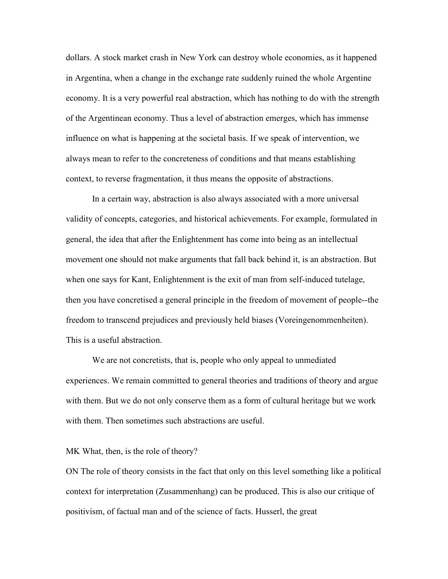dollars. A stock market crash in New York can destroy whole economies, as it happened in Argentina, when a change in the exchange rate suddenly ruined the whole Argentine economy. It is a very powerful real abstraction, which has nothing to do with the strength of the Argentinean economy. Thus a level of abstraction emerges, which has immense influence on what is happening at the societal basis. If we speak of intervention, we always mean to refer to the concreteness of conditions and that means establishing context, to reverse fragmentation, it thus means the opposite of abstractions.

 In a certain way, abstraction is also always associated with a more universal validity of concepts, categories, and historical achievements. For example, formulated in general, the idea that after the Enlightenment has come into being as an intellectual movement one should not make arguments that fall back behind it, is an abstraction. But when one says for Kant, Enlightenment is the exit of man from self-induced tutelage, then you have concretised a general principle in the freedom of movement of people--the freedom to transcend prejudices and previously held biases (Voreingenommenheiten). This is a useful abstraction.

We are not concretists, that is, people who only appeal to unmediated experiences. We remain committed to general theories and traditions of theory and argue with them. But we do not only conserve them as a form of cultural heritage but we work with them. Then sometimes such abstractions are useful.

#### MK What, then, is the role of theory?

ON The role of theory consists in the fact that only on this level something like a political context for interpretation (Zusammenhang) can be produced. This is also our critique of positivism, of factual man and of the science of facts. Husserl, the great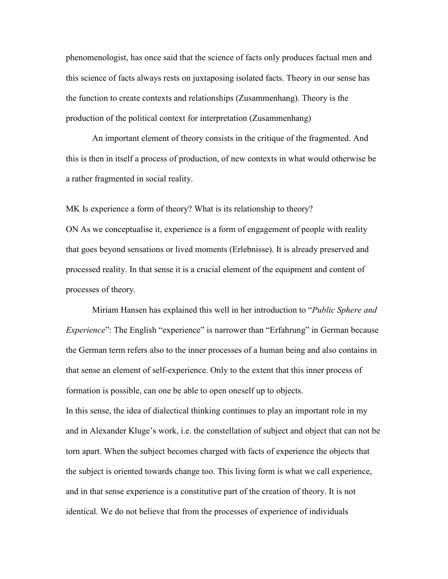phenomenologist, has once said that the science of facts only produces factual men and this science of facts always rests on juxtaposing isolated facts. Theory in our sense has the function to create contexts and relationships (Zusammenhang). Theory is the production of the political context for interpretation (Zusammenhang)

An important element of theory consists in the critique of the fragmented. And this is then in itself a process of production, of new contexts in what would otherwise be a rather fragmented in social reality.

MK Is experience a form of theory? What is its relationship to theory? ON As we conceptualise it, experience is a form of engagement of people with reality that goes beyond sensations or lived moments (Erlebnisse). It is already preserved and processed reality. In that sense it is a crucial element of the equipment and content of processes of theory.

Miriam Hansen has explained this well in her introduction to "*Public Sphere and Experience*": The English "experience" is narrower than "Erfahrung" in German because the German term refers also to the inner processes of a human being and also contains in that sense an element of self-experience. Only to the extent that this inner process of formation is possible, can one be able to open oneself up to objects.

In this sense, the idea of dialectical thinking continues to play an important role in my and in Alexander Kluge's work, i.e. the constellation of subject and object that can not be torn apart. When the subject becomes charged with facts of experience the objects that the subject is oriented towards change too. This living form is what we call experience, and in that sense experience is a constitutive part of the creation of theory. It is not identical. We do not believe that from the processes of experience of individuals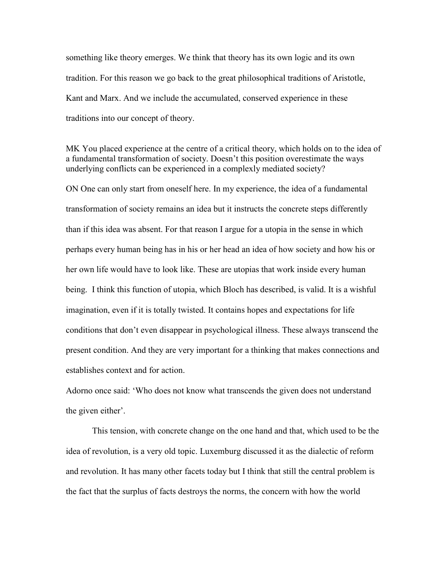something like theory emerges. We think that theory has its own logic and its own tradition. For this reason we go back to the great philosophical traditions of Aristotle, Kant and Marx. And we include the accumulated, conserved experience in these traditions into our concept of theory.

MK You placed experience at the centre of a critical theory, which holds on to the idea of a fundamental transformation of society. Doesn't this position overestimate the ways underlying conflicts can be experienced in a complexly mediated society?

ON One can only start from oneself here. In my experience, the idea of a fundamental transformation of society remains an idea but it instructs the concrete steps differently than if this idea was absent. For that reason I argue for a utopia in the sense in which perhaps every human being has in his or her head an idea of how society and how his or her own life would have to look like. These are utopias that work inside every human being. I think this function of utopia, which Bloch has described, is valid. It is a wishful imagination, even if it is totally twisted. It contains hopes and expectations for life conditions that don't even disappear in psychological illness. These always transcend the present condition. And they are very important for a thinking that makes connections and establishes context and for action.

Adorno once said: 'Who does not know what transcends the given does not understand the given either'.

This tension, with concrete change on the one hand and that, which used to be the idea of revolution, is a very old topic. Luxemburg discussed it as the dialectic of reform and revolution. It has many other facets today but I think that still the central problem is the fact that the surplus of facts destroys the norms, the concern with how the world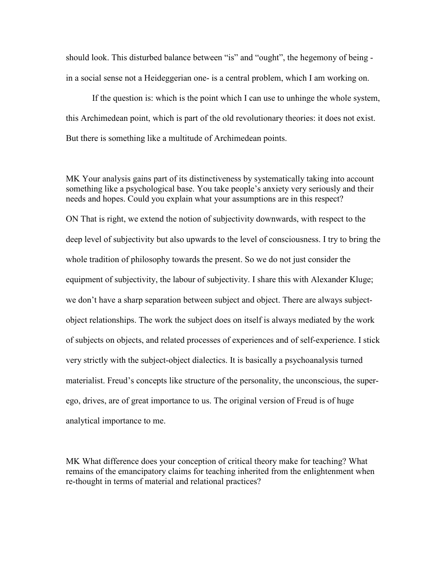should look. This disturbed balance between "is" and "ought", the hegemony of being in a social sense not a Heideggerian one- is a central problem, which I am working on.

If the question is: which is the point which I can use to unhinge the whole system, this Archimedean point, which is part of the old revolutionary theories: it does not exist. But there is something like a multitude of Archimedean points.

MK Your analysis gains part of its distinctiveness by systematically taking into account something like a psychological base. You take people's anxiety very seriously and their needs and hopes. Could you explain what your assumptions are in this respect? ON That is right, we extend the notion of subjectivity downwards, with respect to the deep level of subjectivity but also upwards to the level of consciousness. I try to bring the whole tradition of philosophy towards the present. So we do not just consider the equipment of subjectivity, the labour of subjectivity. I share this with Alexander Kluge; we don't have a sharp separation between subject and object. There are always subjectobject relationships. The work the subject does on itself is always mediated by the work of subjects on objects, and related processes of experiences and of self-experience. I stick very strictly with the subject-object dialectics. It is basically a psychoanalysis turned materialist. Freud's concepts like structure of the personality, the unconscious, the superego, drives, are of great importance to us. The original version of Freud is of huge analytical importance to me.

MK What difference does your conception of critical theory make for teaching? What remains of the emancipatory claims for teaching inherited from the enlightenment when re-thought in terms of material and relational practices?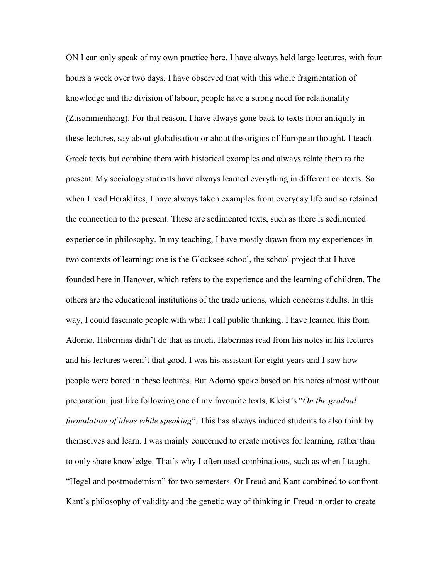ON I can only speak of my own practice here. I have always held large lectures, with four hours a week over two days. I have observed that with this whole fragmentation of knowledge and the division of labour, people have a strong need for relationality (Zusammenhang). For that reason, I have always gone back to texts from antiquity in these lectures, say about globalisation or about the origins of European thought. I teach Greek texts but combine them with historical examples and always relate them to the present. My sociology students have always learned everything in different contexts. So when I read Heraklites, I have always taken examples from everyday life and so retained the connection to the present. These are sedimented texts, such as there is sedimented experience in philosophy. In my teaching, I have mostly drawn from my experiences in two contexts of learning: one is the Glocksee school, the school project that I have founded here in Hanover, which refers to the experience and the learning of children. The others are the educational institutions of the trade unions, which concerns adults. In this way, I could fascinate people with what I call public thinking. I have learned this from Adorno. Habermas didn't do that as much. Habermas read from his notes in his lectures and his lectures weren't that good. I was his assistant for eight years and I saw how people were bored in these lectures. But Adorno spoke based on his notes almost without preparation, just like following one of my favourite texts, Kleist's "*On the gradual formulation of ideas while speaking*". This has always induced students to also think by themselves and learn. I was mainly concerned to create motives for learning, rather than to only share knowledge. That's why I often used combinations, such as when I taught "Hegel and postmodernism" for two semesters. Or Freud and Kant combined to confront Kant's philosophy of validity and the genetic way of thinking in Freud in order to create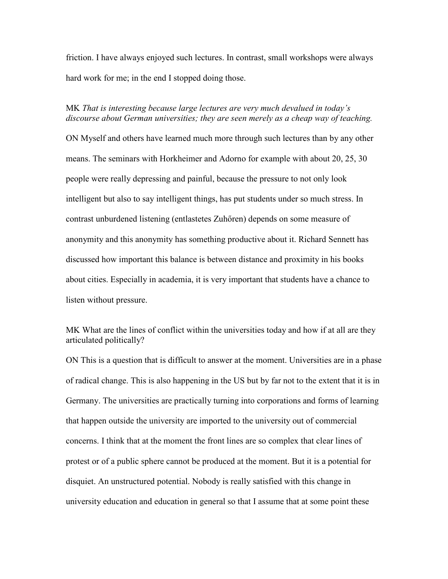friction. I have always enjoyed such lectures. In contrast, small workshops were always hard work for me; in the end I stopped doing those.

# MK *That is interesting because large lectures are very much devalued in today's discourse about German universities; they are seen merely as a cheap way of teaching.*

ON Myself and others have learned much more through such lectures than by any other means. The seminars with Horkheimer and Adorno for example with about 20, 25, 30 people were really depressing and painful, because the pressure to not only look intelligent but also to say intelligent things, has put students under so much stress. In contrast unburdened listening (entlastetes Zuhören) depends on some measure of anonymity and this anonymity has something productive about it. Richard Sennett has discussed how important this balance is between distance and proximity in his books about cities. Especially in academia, it is very important that students have a chance to listen without pressure.

MK What are the lines of conflict within the universities today and how if at all are they articulated politically?

ON This is a question that is difficult to answer at the moment. Universities are in a phase of radical change. This is also happening in the US but by far not to the extent that it is in Germany. The universities are practically turning into corporations and forms of learning that happen outside the university are imported to the university out of commercial concerns. I think that at the moment the front lines are so complex that clear lines of protest or of a public sphere cannot be produced at the moment. But it is a potential for disquiet. An unstructured potential. Nobody is really satisfied with this change in university education and education in general so that I assume that at some point these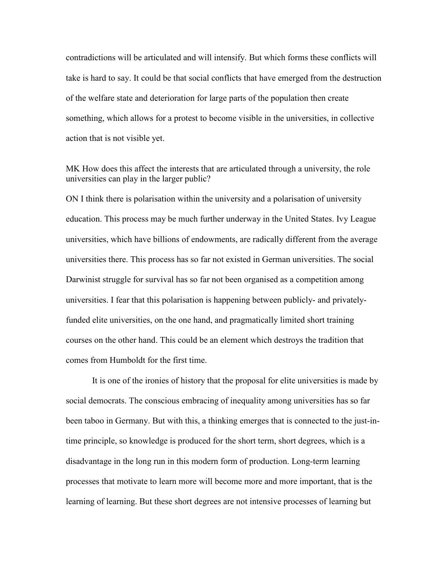contradictions will be articulated and will intensify. But which forms these conflicts will take is hard to say. It could be that social conflicts that have emerged from the destruction of the welfare state and deterioration for large parts of the population then create something, which allows for a protest to become visible in the universities, in collective action that is not visible yet.

MK How does this affect the interests that are articulated through a university, the role universities can play in the larger public?

ON I think there is polarisation within the university and a polarisation of university education. This process may be much further underway in the United States. Ivy League universities, which have billions of endowments, are radically different from the average universities there. This process has so far not existed in German universities. The social Darwinist struggle for survival has so far not been organised as a competition among universities. I fear that this polarisation is happening between publicly- and privatelyfunded elite universities, on the one hand, and pragmatically limited short training courses on the other hand. This could be an element which destroys the tradition that comes from Humboldt for the first time.

 It is one of the ironies of history that the proposal for elite universities is made by social democrats. The conscious embracing of inequality among universities has so far been taboo in Germany. But with this, a thinking emerges that is connected to the just-intime principle, so knowledge is produced for the short term, short degrees, which is a disadvantage in the long run in this modern form of production. Long-term learning processes that motivate to learn more will become more and more important, that is the learning of learning. But these short degrees are not intensive processes of learning but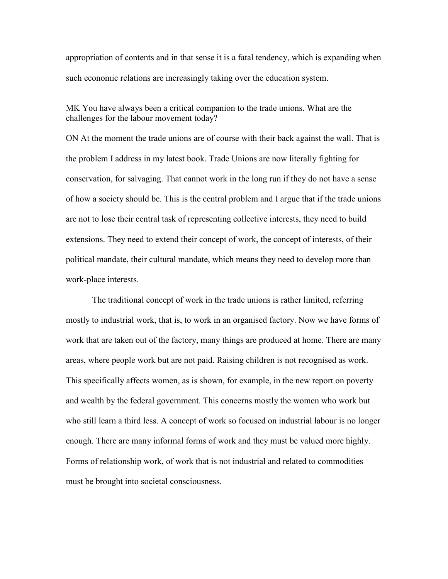appropriation of contents and in that sense it is a fatal tendency, which is expanding when such economic relations are increasingly taking over the education system.

MK You have always been a critical companion to the trade unions. What are the challenges for the labour movement today?

ON At the moment the trade unions are of course with their back against the wall. That is the problem I address in my latest book. Trade Unions are now literally fighting for conservation, for salvaging. That cannot work in the long run if they do not have a sense of how a society should be. This is the central problem and I argue that if the trade unions are not to lose their central task of representing collective interests, they need to build extensions. They need to extend their concept of work, the concept of interests, of their political mandate, their cultural mandate, which means they need to develop more than work-place interests.

The traditional concept of work in the trade unions is rather limited, referring mostly to industrial work, that is, to work in an organised factory. Now we have forms of work that are taken out of the factory, many things are produced at home. There are many areas, where people work but are not paid. Raising children is not recognised as work. This specifically affects women, as is shown, for example, in the new report on poverty and wealth by the federal government. This concerns mostly the women who work but who still learn a third less. A concept of work so focused on industrial labour is no longer enough. There are many informal forms of work and they must be valued more highly. Forms of relationship work, of work that is not industrial and related to commodities must be brought into societal consciousness.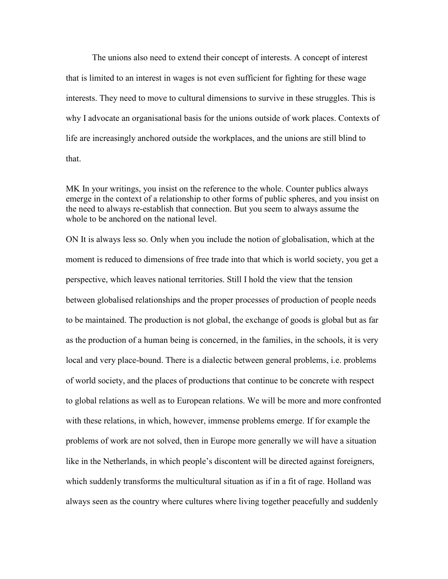The unions also need to extend their concept of interests. A concept of interest that is limited to an interest in wages is not even sufficient for fighting for these wage interests. They need to move to cultural dimensions to survive in these struggles. This is why I advocate an organisational basis for the unions outside of work places. Contexts of life are increasingly anchored outside the workplaces, and the unions are still blind to that.

MK In your writings, you insist on the reference to the whole. Counter publics always emerge in the context of a relationship to other forms of public spheres, and you insist on the need to always re-establish that connection. But you seem to always assume the whole to be anchored on the national level.

ON It is always less so. Only when you include the notion of globalisation, which at the moment is reduced to dimensions of free trade into that which is world society, you get a perspective, which leaves national territories. Still I hold the view that the tension between globalised relationships and the proper processes of production of people needs to be maintained. The production is not global, the exchange of goods is global but as far as the production of a human being is concerned, in the families, in the schools, it is very local and very place-bound. There is a dialectic between general problems, i.e. problems of world society, and the places of productions that continue to be concrete with respect to global relations as well as to European relations. We will be more and more confronted with these relations, in which, however, immense problems emerge. If for example the problems of work are not solved, then in Europe more generally we will have a situation like in the Netherlands, in which people's discontent will be directed against foreigners, which suddenly transforms the multicultural situation as if in a fit of rage. Holland was always seen as the country where cultures where living together peacefully and suddenly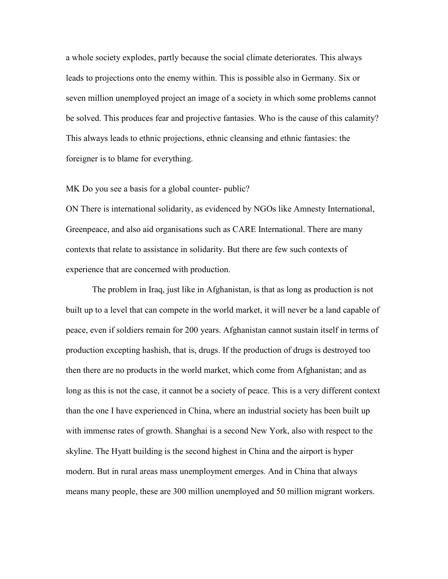a whole society explodes, partly because the social climate deteriorates. This always leads to projections onto the enemy within. This is possible also in Germany. Six or seven million unemployed project an image of a society in which some problems cannot be solved. This produces fear and projective fantasies. Who is the cause of this calamity? This always leads to ethnic projections, ethnic cleansing and ethnic fantasies: the foreigner is to blame for everything.

### MK Do you see a basis for a global counter- public?

ON There is international solidarity, as evidenced by NGOs like Amnesty International, Greenpeace, and also aid organisations such as CARE International. There are many contexts that relate to assistance in solidarity. But there are few such contexts of experience that are concerned with production.

The problem in Iraq, just like in Afghanistan, is that as long as production is not built up to a level that can compete in the world market, it will never be a land capable of peace, even if soldiers remain for 200 years. Afghanistan cannot sustain itself in terms of production excepting hashish, that is, drugs. If the production of drugs is destroyed too then there are no products in the world market, which come from Afghanistan; and as long as this is not the case, it cannot be a society of peace. This is a very different context than the one I have experienced in China, where an industrial society has been built up with immense rates of growth. Shanghai is a second New York, also with respect to the skyline. The Hyatt building is the second highest in China and the airport is hyper modern. But in rural areas mass unemployment emerges. And in China that always means many people, these are 300 million unemployed and 50 million migrant workers.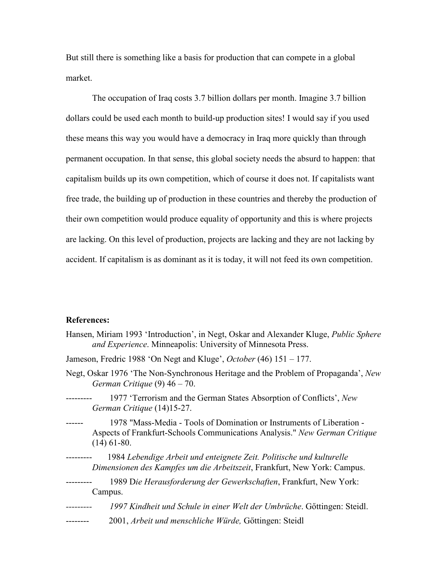But still there is something like a basis for production that can compete in a global market.

 The occupation of Iraq costs 3.7 billion dollars per month. Imagine 3.7 billion dollars could be used each month to build-up production sites! I would say if you used these means this way you would have a democracy in Iraq more quickly than through permanent occupation. In that sense, this global society needs the absurd to happen: that capitalism builds up its own competition, which of course it does not. If capitalists want free trade, the building up of production in these countries and thereby the production of their own competition would produce equality of opportunity and this is where projects are lacking. On this level of production, projects are lacking and they are not lacking by accident. If capitalism is as dominant as it is today, it will not feed its own competition.

## **References:**

| Hansen, Miriam 1993 'Introduction', in Negt, Oskar and Alexander Kluge, Public Sphere<br>and Experience. Minneapolis: University of Minnesota Press.                 |
|----------------------------------------------------------------------------------------------------------------------------------------------------------------------|
| Jameson, Fredric 1988 'On Negt and Kluge', <i>October</i> (46) 151 – 177.                                                                                            |
| Negt, Oskar 1976 'The Non-Synchronous Heritage and the Problem of Propaganda', New<br>German Critique $(9)$ 46 – 70.                                                 |
| 1977 'Terrorism and the German States Absorption of Conflicts', New<br>German Critique (14)15-27.                                                                    |
| 1978 "Mass-Media - Tools of Domination or Instruments of Liberation -<br>Aspects of Frankfurt-Schools Communications Analysis." New German Critique<br>$(14)$ 61-80. |
| 1984 Lebendige Arbeit und enteignete Zeit. Politische und kulturelle<br>Dimensionen des Kampfes um die Arbeitszeit, Frankfurt, New York: Campus.                     |
| 1989 Die Herausforderung der Gewerkschaften, Frankfurt, New York:<br>Campus.                                                                                         |
| 1997 Kindheit und Schule in einer Welt der Umbrüche. Göttingen: Steidl.                                                                                              |
| 2001, Arbeit und menschliche Würde, Göttingen: Steidl                                                                                                                |